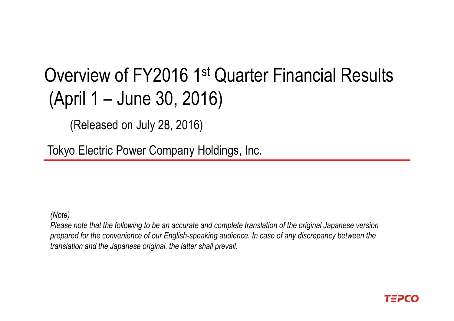# Overview of FY2016 1st Quarter Financial Results (April 1 – June 30, 2016)

(Released on July 28, 2016)

Tokyo Electric Power Company Holdings, Inc.

*(Note)*

*Please note that the following to be an accurate and complete translation of the original Japanese version prepared for the convenience of our English-speaking audience. In case of any discrepancy between the translation and the Japanese original, the latter shall prevail.* 

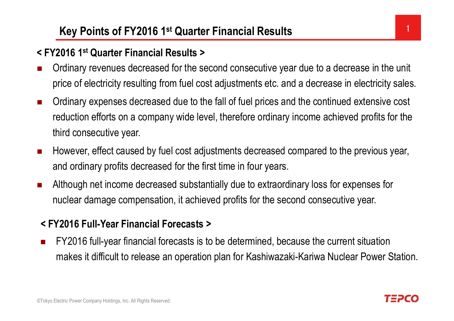### **Key Points of FY2016 1<sup>st</sup> Quarter Financial Results** 1

### **< FY2016 1st Quarter Financial Results >**

- $\mathcal{L}_{\mathcal{A}}$  Ordinary revenues decreased for the second consecutive year due to a decrease in the unit price of electricity resulting from fuel cost adjustments etc. and a decrease in electricity sales.
- $\overline{\phantom{a}}$  Ordinary expenses decreased due to the fall of fuel prices and the continued extensive cost reduction efforts on a company wide level, therefore ordinary income achieved profits for the third consecutive year.
- $\mathcal{L}$  However, effect caused by fuel cost adjustments decreased compared to the previous year, and ordinary profits decreased for the first time in four years.
- $\mathcal{L}_{\mathcal{A}}$  Although net income decreased substantially due to extraordinary loss for expenses for nuclear damage compensation, it achieved profits for the second consecutive year.

### **< FY2016 Full-Year Financial Forecasts >**

П FY2016 full-year financial forecasts is to be determined, because the current situation makes it difficult to release an operation plan for Kashiwazaki-Kariwa Nuclear Power Station.

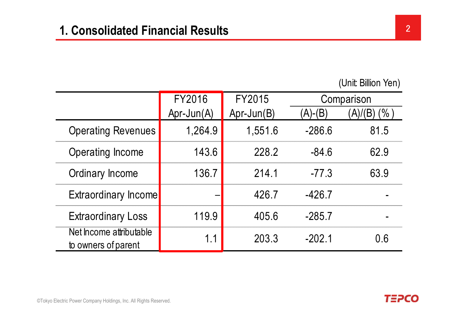|                                                | FY2016       | FY2015       | Comparison |                      |
|------------------------------------------------|--------------|--------------|------------|----------------------|
|                                                | $Apr-Jun(A)$ | $Apr-Jun(B)$ | $(A)-(B)$  | (% )<br>$\mathsf{A}$ |
| <b>Operating Revenues</b>                      | 1,264.9      | 1,551.6      | $-286.6$   | 81.5                 |
| Operating Income                               | 143.6        | 228.2        | $-84.6$    | 62.9                 |
| Ordinary Income                                | 136.7        | 214 1        | $-77.3$    | 63.9                 |
| <b>Extraordinary Income</b>                    |              | 426.7        | $-426.7$   |                      |
| <b>Extraordinary Loss</b>                      | 119.9        | 405.6        | $-285.7$   |                      |
| Net Income attributable<br>to owners of parent | 1.1          | 203.3        | $-202.1$   | 0.6                  |

**TEPCO**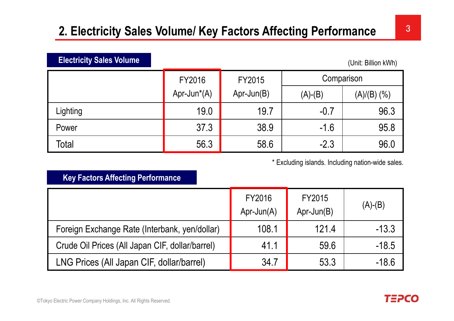## **2. Electricity Sales Volume/ Key Factors Affecting Performance**

| <b>Electricity Sales Volume</b><br>(Unit: Billion kWh) |                |              |            |               |  |  |
|--------------------------------------------------------|----------------|--------------|------------|---------------|--|--|
|                                                        | FY2016         | FY2015       | Comparison |               |  |  |
|                                                        | Apr-Jun $*(A)$ | $Apr-Jun(B)$ | $(A)-(B)$  | $(A)/(B)$ (%) |  |  |
| Lighting                                               | 19.0           | 19.7         | $-0.7$     | 96.3          |  |  |
| Power                                                  | 37.3           | 38.9         | $-1.6$     | 95.8          |  |  |
| Total                                                  | 56.3           | 58.6         | $-2.3$     | 96.0          |  |  |

\* Excluding islands. Including nation-wide sales.

#### **Key Factors Affecting Performance**

**Electricity Sales Volume**

|                                                 | FY2016<br>$Apr-Jun(A)$ | FY2015<br>$Apr-Jun(B)$ | $(A)-(B)$ |
|-------------------------------------------------|------------------------|------------------------|-----------|
| Foreign Exchange Rate (Interbank, yen/dollar)   | 108.1                  | 121.4                  | $-13.3$   |
| Crude Oil Prices (All Japan CIF, dollar/barrel) | 41.1                   | 59.6                   | $-18.5$   |
| LNG Prices (All Japan CIF, dollar/barrel)       | 34.7                   | 53.3                   | $-18.6$   |

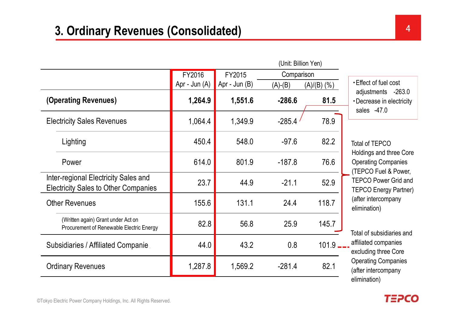|                                                                                     | FY2016        | FY2015          | Comparison |                   |                                                                                                                                                     |  |
|-------------------------------------------------------------------------------------|---------------|-----------------|------------|-------------------|-----------------------------------------------------------------------------------------------------------------------------------------------------|--|
|                                                                                     | Apr - Jun (A) | Apr - Jun $(B)$ | $(A)-(B)$  | $(A)/(B)$ $(\% )$ | <b>Effect of fuel cost</b>                                                                                                                          |  |
| (Operating Revenues)                                                                | 1,264.9       | 1,551.6         | $-286.6$   | 81.5              | adjustments -263.0<br>• Decrease in electricity<br>sales $-47.0$                                                                                    |  |
| <b>Electricity Sales Revenues</b>                                                   | 1,064.4       | 1,349.9         | $-285.4$   | 78.9              |                                                                                                                                                     |  |
| Lighting                                                                            | 450.4         | 548.0           | $-97.6$    | 82.2              | <b>Total of TEPCO</b>                                                                                                                               |  |
| Power                                                                               | 614.0         | 801.9           | $-187.8$   | 76.6              | <b>Holdings and three Core</b><br><b>Operating Companies</b><br>(TEPCO Fuel & Power,<br><b>TEPCO Power Grid and</b><br><b>TEPCO Energy Partner)</b> |  |
| Inter-regional Electricity Sales and<br><b>Electricity Sales to Other Companies</b> | 23.7          | 44.9            | $-21.1$    | 52.9              |                                                                                                                                                     |  |
| <b>Other Revenues</b>                                                               | 155.6         | 131.1           | 24.4       | 118.7             | (after intercompany<br>elimination)                                                                                                                 |  |
| (Written again) Grant under Act on<br>Procurement of Renewable Electric Energy      | 82.8          | 56.8            | 25.9       | 145.7             | Total of subsidiaries and                                                                                                                           |  |
| Subsidiaries / Affiliated Companie.                                                 | 44.0          | 43.2            | 0.8        | 101.9             | affiliated companies<br>excluding three Core                                                                                                        |  |
| <b>Ordinary Revenues</b>                                                            | 1,287.8       | 1,569.2         | $-281.4$   | 82.1              | <b>Operating Companies</b><br>(after intercompany<br>المتملكم متلممتان                                                                              |  |

Total of subsidiaries and d Operating Companies elimination)

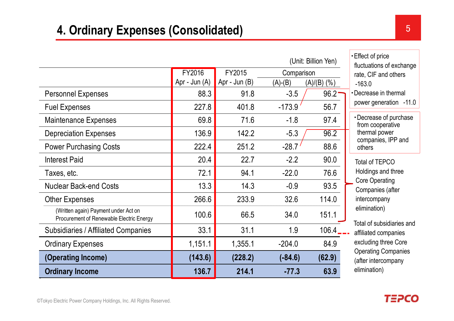| <b>Ordinary Income</b>                                                           | 136.7         | 214.1           | $-77.3$    | 63.9          | elimination)                                       |
|----------------------------------------------------------------------------------|---------------|-----------------|------------|---------------|----------------------------------------------------|
| (Operating Income)                                                               | (143.6)       | (228.2)         | $(-84.6)$  | (62.9)        | (after intercompany                                |
| <b>Ordinary Expenses</b>                                                         | 1,151.1       | 1,355.1         | $-204.0$   | 84.9          | excluding three Core<br><b>Operating Companies</b> |
| <b>Subsidiaries / Affiliated Companies</b>                                       | 33.1          | 31.1            | 1.9        | 106.4         | affiliated companies                               |
| (Written again) Payment under Act on<br>Procurement of Renewable Electric Energy | 100.6         | 66.5            | 34.0       | 151.1         | elimination)<br>Total of subsidiaries and          |
| <b>Other Expenses</b>                                                            | 266.6         | 233.9           | 32.6       | 114.0         | intercompany                                       |
| <b>Nuclear Back-end Costs</b>                                                    | 13.3          | 14.3            | $-0.9$     | 93.5          | <b>Core Operating</b><br>Companies (after          |
| Taxes, etc.                                                                      | 72.1          | 94.1            | $-22.0$    | 76.6          | Holdings and three                                 |
| <b>Interest Paid</b>                                                             | 20.4          | 22.7            | $-2.2$     | 90.0          | Total of TEPCO                                     |
| <b>Power Purchasing Costs</b>                                                    | 222.4         | 251.2           | $-28.7'$   | 88.6          | others                                             |
| <b>Depreciation Expenses</b>                                                     | 136.9         | 142.2           | $-5.3$     | 96.2          | thermal power<br>companies, IPP and                |
| <b>Maintenance Expenses</b>                                                      | 69.8          | 71.6            | $-1.8$     | 97.4          | • Decrease of purchase<br>from cooperative         |
| <b>Fuel Expenses</b>                                                             | 227.8         | 401.8           | $-173.9$   | 56.7          | power generation -11.0                             |
| <b>Personnel Expenses</b>                                                        | 88.3          | 91.8            | $-3.5$     | $96.2 -$      | •Decrease in thermal                               |
|                                                                                  | Apr - Jun (A) | Apr - Jun $(B)$ | $(A)-(B)$  | $(A)/(B)$ (%) | rate, CIF and others<br>$-163.0$                   |
|                                                                                  | FY2016        | FY2015          | Comparison |               | fluctuations of exchange                           |
| (Unit: Billion Yen)                                                              |               |                 |            |               | Effect of price                                    |

・Decrease of purchase fluctuations of exchange power generation -11.0 Total of subsidiaries and

**TEPCO**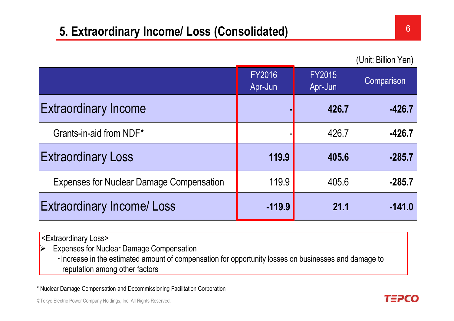### **5. Extraordinary Income/ Loss (Consolidated)** <sup>6</sup>

(Unit: Billion Yen)

|                                                 | <b>FY2016</b><br>Apr-Jun | <b>FY2015</b><br>Apr-Jun | Comparison |
|-------------------------------------------------|--------------------------|--------------------------|------------|
| <b>Extraordinary Income</b>                     |                          | 426.7                    | $-426.7$   |
| Grants-in-aid from NDF*                         |                          | 426.7                    | $-426.7$   |
| <b>Extraordinary Loss</b>                       | 119.9                    | 405.6                    | $-285.7$   |
| <b>Expenses for Nuclear Damage Compensation</b> | 119.9                    | 405.6                    | $-285.7$   |
| <b>Extraordinary Income/Loss</b>                | $-119.9$                 | 21.1                     | $-141.0$   |

<Extraordinary Loss>

 $\blacktriangleright$ Expenses for Nuclear Damage Compensation

・Increase in the estimated amount of compensation for opportunity losses on businesses and damage to reputation among other factors

\* Nuclear Damage Compensation and Decommissioning Facilitation Corporation